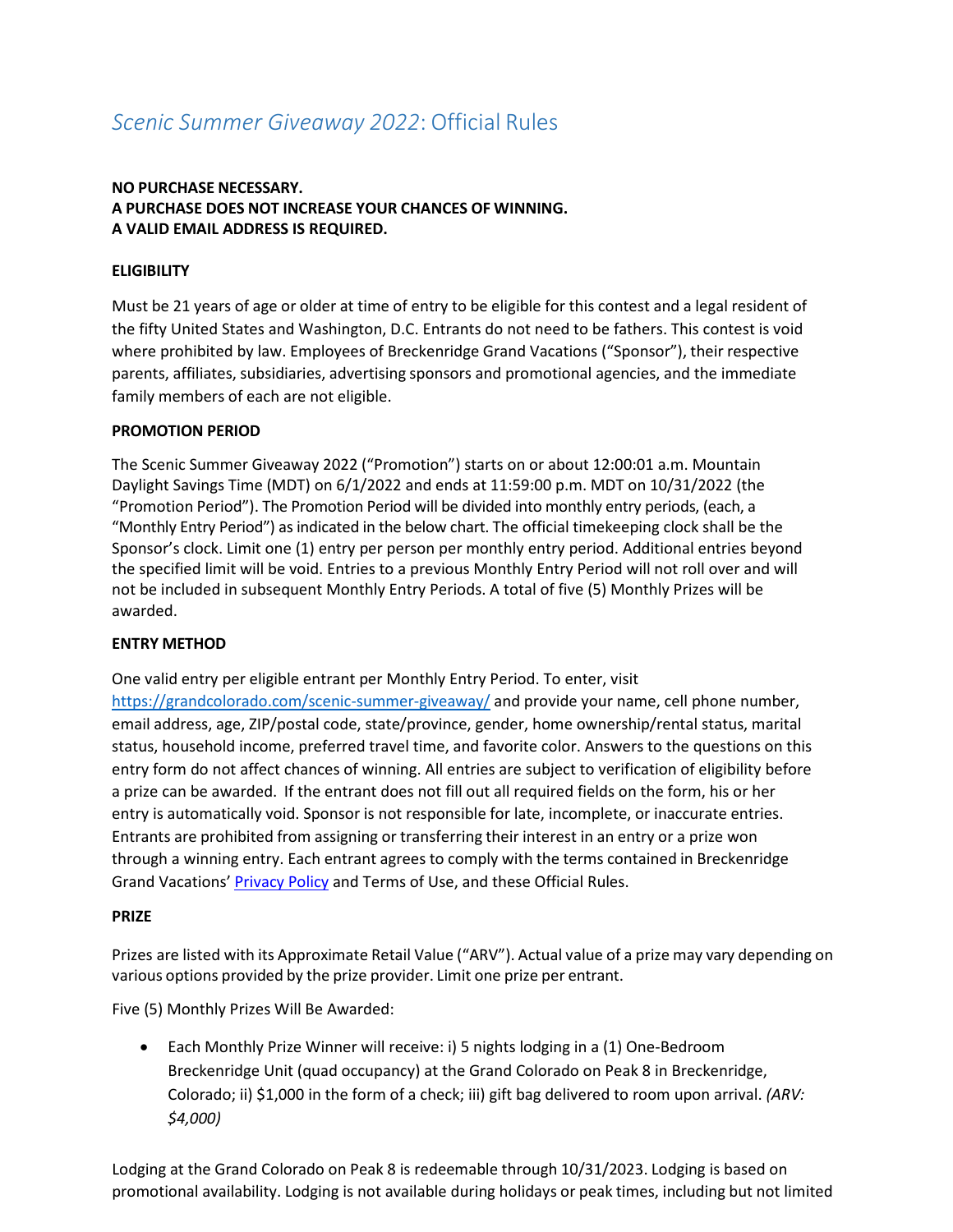# *Scenic Summer Giveaway 2022*: Official Rules

# **NO PURCHASE NECESSARY. A PURCHASE DOES NOT INCREASE YOUR CHANCES OF WINNING. A VALID EMAIL ADDRESS IS REQUIRED.**

# **ELIGIBILITY**

Must be 21 years of age or older at time of entry to be eligible for this contest and a legal resident of the fifty United States and Washington, D.C. Entrants do not need to be fathers. This contest is void where prohibited by law. Employees of Breckenridge Grand Vacations ("Sponsor"), their respective parents, affiliates, subsidiaries, advertising sponsors and promotional agencies, and the immediate family members of each are not eligible.

### **PROMOTION PERIOD**

The Scenic Summer Giveaway 2022 ("Promotion") starts on or about 12:00:01 a.m. Mountain Daylight Savings Time (MDT) on 6/1/2022 and ends at 11:59:00 p.m. MDT on 10/31/2022 (the "Promotion Period"). The Promotion Period will be divided into monthly entry periods, (each, a "Monthly Entry Period") as indicated in the below chart. The official timekeeping clock shall be the Sponsor's clock. Limit one (1) entry per person per monthly entry period. Additional entries beyond the specified limit will be void. Entries to a previous Monthly Entry Period will not roll over and will not be included in subsequent Monthly Entry Periods. A total of five (5) Monthly Prizes will be awarded.

#### **ENTRY METHOD**

One valid entry per eligible entrant per Monthly Entry Period. To enter, visit <https://grandcolorado.com/scenic-summer-giveaway/> and provide your name, cell phone number, email address, age, ZIP/postal code, state/province, gender, home ownership/rental status, marital status, household income, preferred travel time, and favorite color. Answers to the questions on this entry form do not affect chances of winning. [All entries are subject to verification of](https://grandcolorado.com/ultimate-fathers-day-giveaway/) [eligibility b](https://grandcolorado.com/ultimate-fathers-day-giveaway/)efore a prize can be awarded. If the entrant does not fill out all required fields on the form, his or her entry is automatically void. Sponsor is not responsible for late, incomplete, or inaccurate entries. Entrants are prohibited from assigning or transferring their interest in an entry or a prize won through a winning entry. Each entrant agrees to comply with the terms contained in Breckenridge Grand Vacations[' Privacy Policy](https://breckenridgegrandvacations.com/privacy-policy-2/) and Terms of Use, and these Official Rules.

#### **PRIZE**

Prizes are listed with its Approximate Retail Value ("ARV"). Actual value of a prize may vary depending on various options provided by the prize provider. Limit one prize per entrant.

Five (5) Monthly Prizes Will Be Awarded:

• Each Monthly Prize Winner will receive: i) 5 nights lodging in a (1) One-Bedroom Breckenridge Unit (quad occupancy) at the Grand Colorado on Peak 8 in Breckenridge, Colorado; ii) \$1,000 in the form of a check; iii) gift bag delivered to room upon arrival. *(ARV: \$4,000)*

Lodging at the Grand Colorado on Peak 8 is redeemable through 10/31/2023. Lodging is based on promotional availability. Lodging is not available during holidays or peak times, including but not limited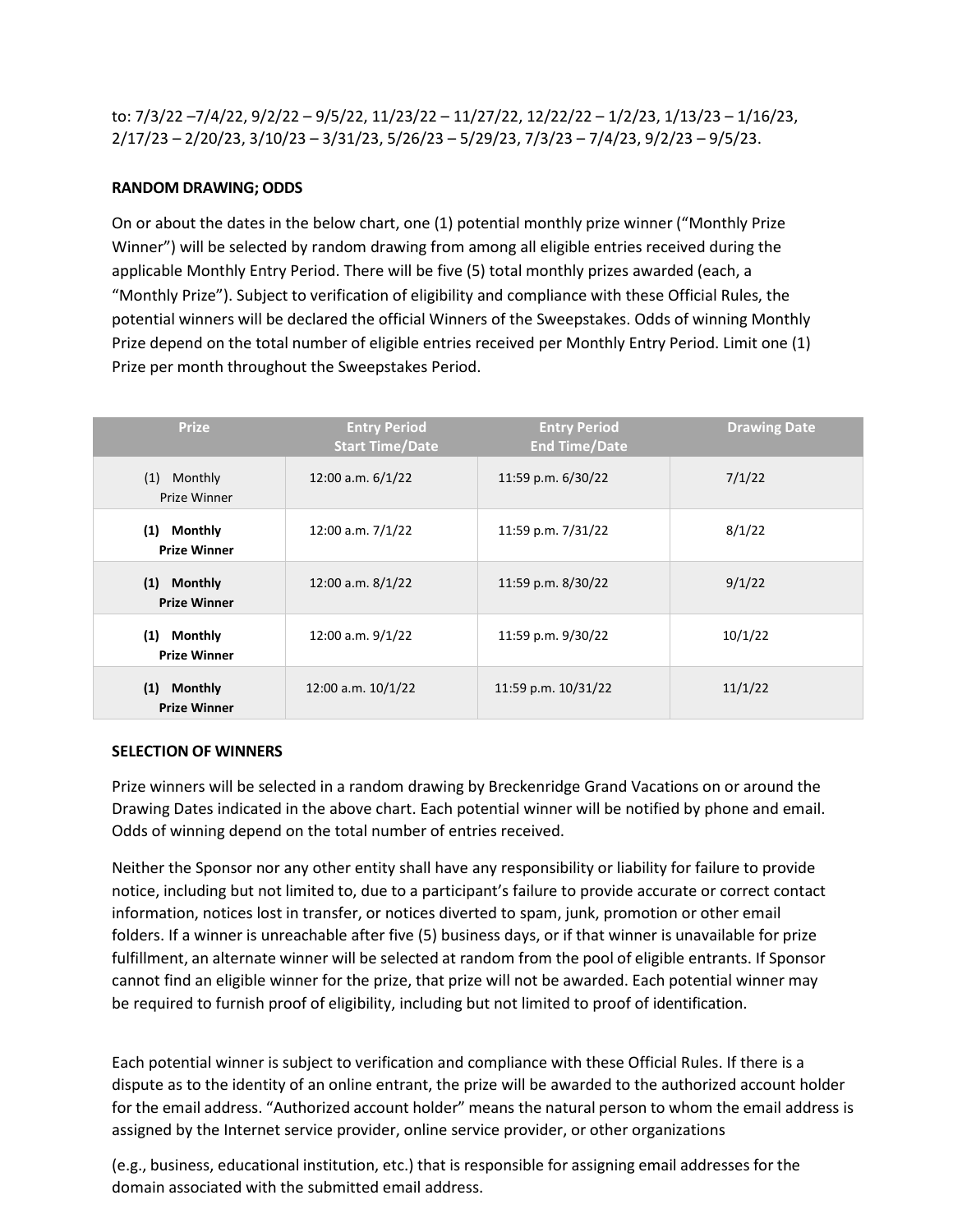to: 7/3/22 –7/4/22, 9/2/22 – 9/5/22, 11/23/22 – 11/27/22, 12/22/22 – 1/2/23, 1/13/23 – 1/16/23, 2/17/23 – 2/20/23, 3/10/23 – 3/31/23, 5/26/23 – 5/29/23, 7/3/23 – 7/4/23, 9/2/23 – 9/5/23.

## **RANDOM DRAWING; ODDS**

On or about the dates in the below chart, one (1) potential monthly prize winner ("Monthly Prize Winner") will be selected by random drawing from among all eligible entries received during the applicable Monthly Entry Period. There will be five (5) total monthly prizes awarded (each, a "Monthly Prize"). Subject to verification of eligibility and compliance with these Official Rules, the potential winners will be declared the official Winners of the Sweepstakes. Odds of winning Monthly Prize depend on the total number of eligible entries received per Monthly Entry Period. Limit one (1) Prize per month throughout the Sweepstakes Period.

| <b>Prize</b>                          | <b>Entry Period</b><br><b>Start Time/Date</b> | <b>Entry Period</b><br><b>End Time/Date</b> | <b>Drawing Date</b> |
|---------------------------------------|-----------------------------------------------|---------------------------------------------|---------------------|
| (1) Monthly<br>Prize Winner           | 12:00 a.m. 6/1/22                             | 11:59 p.m. 6/30/22                          | 7/1/22              |
| (1) Monthly<br><b>Prize Winner</b>    | 12:00 a.m. 7/1/22                             | 11:59 p.m. 7/31/22                          | 8/1/22              |
| (1) Monthly<br><b>Prize Winner</b>    | 12:00 a.m. 8/1/22                             | 11:59 p.m. 8/30/22                          | 9/1/22              |
| (1)<br>Monthly<br><b>Prize Winner</b> | 12:00 a.m. 9/1/22                             | 11:59 p.m. 9/30/22                          | 10/1/22             |
| (1) Monthly<br><b>Prize Winner</b>    | 12:00 a.m. 10/1/22                            | 11:59 p.m. 10/31/22                         | 11/1/22             |

#### **SELECTION OF WINNERS**

Prize winners will be selected in a random drawing by Breckenridge Grand Vacations on or around the Drawing Dates indicated in the above chart. Each potential winner will be notified by phone and email. Odds of winning depend on the total number of entries received.

Neither the Sponsor nor any other entity shall have any responsibility or liability for failure to provide notice, including but not limited to, due to a participant's failure to provide accurate or correct contact information, notices lost in transfer, or notices diverted to spam, junk, promotion or other email folders. If a winner is unreachable after five (5) business days, or if that winner is unavailable for prize fulfillment, an alternate winner will be selected at random from the pool of eligible entrants. If Sponsor cannot find an eligible winner for the prize, that prize will not be awarded. Each potential winner may be required to furnish proof of eligibility, including but not limited to proof of identification.

Each potential winner is subject to verification and compliance with these Official Rules. If there is a dispute as to the identity of an online entrant, the prize will be awarded to the authorized account holder for the email address. "Authorized account holder" means the natural person to whom the email address is assigned by the Internet service provider, online service provider, or other organizations

(e.g., business, educational institution, etc.) that is responsible for assigning email addresses for the domain associated with the submitted email address.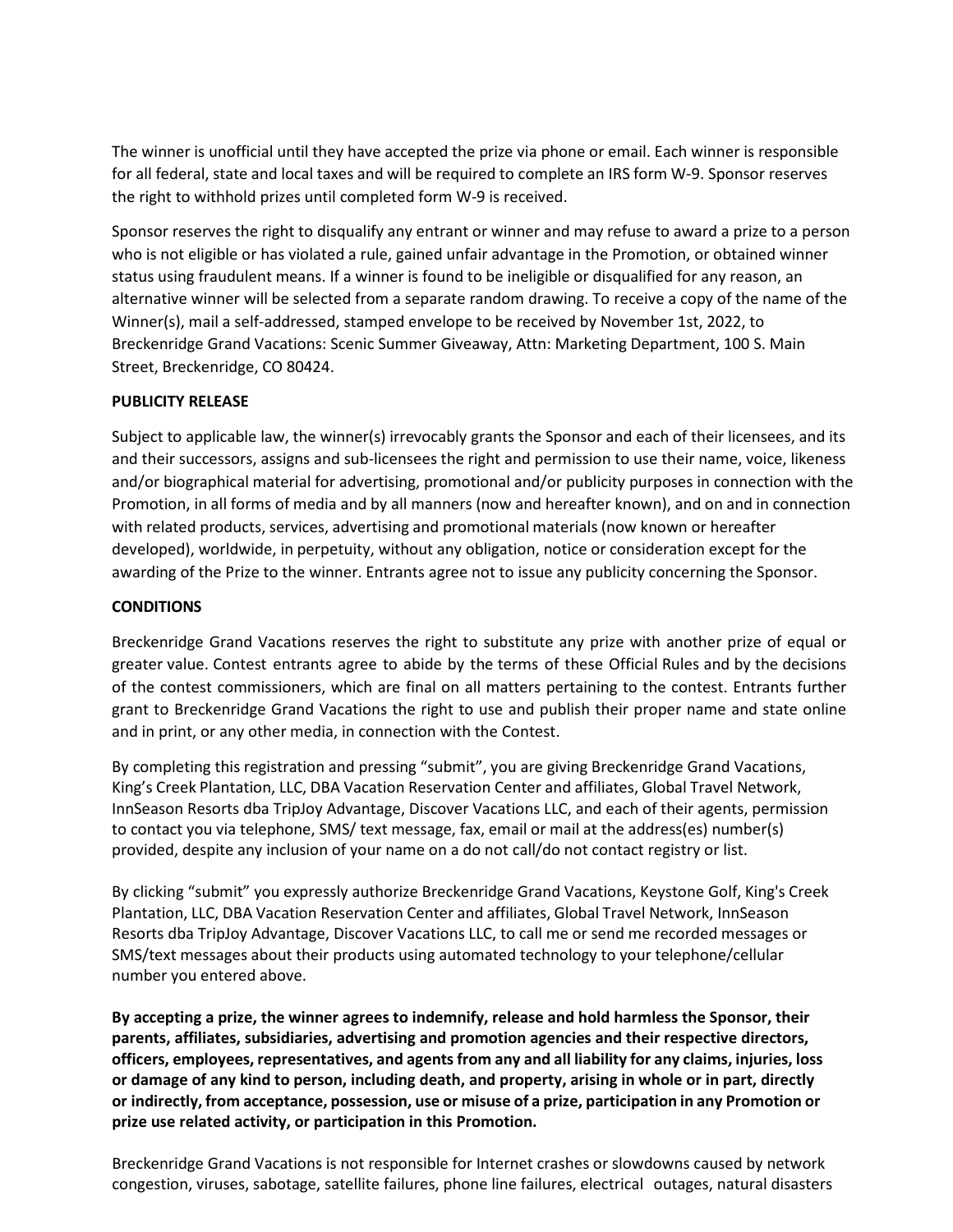The winner is unofficial until they have accepted the prize via phone or email. Each winner is responsible for all federal, state and local taxes and will be required to complete an IRS form W-9. Sponsor reserves the right to withhold prizes until completed form W-9 is received.

Sponsor reserves the right to disqualify any entrant or winner and may refuse to award a prize to a person who is not eligible or has violated a rule, gained unfair advantage in the Promotion, or obtained winner status using fraudulent means. If a winner is found to be ineligible or disqualified for any reason, an alternative winner will be selected from a separate random drawing. To receive a copy of the name of the Winner(s), mail a self-addressed, stamped envelope to be received by November 1st, 2022, to Breckenridge Grand Vacations: Scenic Summer Giveaway, Attn: Marketing Department, 100 S. Main Street, Breckenridge, CO 80424.

# **PUBLICITY RELEASE**

Subject to applicable law, the winner(s) irrevocably grants the Sponsor and each of their licensees, and its and their successors, assigns and sub-licensees the right and permission to use their name, voice, likeness and/or biographical material for advertising, promotional and/or publicity purposes in connection with the Promotion, in all forms of media and by all manners (now and hereafter known), and on and in connection with related products, services, advertising and promotional materials (now known or hereafter developed), worldwide, in perpetuity, without any obligation, notice or consideration except for the awarding of the Prize to the winner. Entrants agree not to issue any publicity concerning the Sponsor.

# **CONDITIONS**

Breckenridge Grand Vacations reserves the right to substitute any prize with another prize of equal or greater value. Contest entrants agree to abide by the terms of these Official Rules and by the decisions of the contest commissioners, which are final on all matters pertaining to the contest. Entrants further grant to Breckenridge Grand Vacations the right to use and publish their proper name and state online and in print, or any other media, in connection with the Contest.

By completing this registration and pressing "submit", you are giving Breckenridge Grand Vacations, King's Creek Plantation, LLC, DBA Vacation Reservation Center and affiliates, Global Travel Network, InnSeason Resorts dba TripJoy Advantage, Discover Vacations LLC, and each of their agents, permission to contact you via telephone, SMS/ text message, fax, email or mail at the address(es) number(s) provided, despite any inclusion of your name on a do not call/do not contact registry or list.

By clicking "submit" you expressly authorize Breckenridge Grand Vacations, Keystone Golf, King's Creek Plantation, LLC, DBA Vacation Reservation Center and affiliates, Global Travel Network, InnSeason Resorts dba TripJoy Advantage, Discover Vacations LLC, to call me or send me recorded messages or SMS/text messages about their products using automated technology to your telephone/cellular number you entered above.

**By accepting a prize, the winner agrees to indemnify, release and hold harmless the Sponsor, their parents, affiliates, subsidiaries, advertising and promotion agencies and their respective directors, officers, employees, representatives, and agentsfrom any and all liability for any claims, injuries, loss or damage of any kind to person, including death, and property, arising in whole or in part, directly or indirectly, from acceptance, possession, use or misuse of a prize, participation in any Promotion or prize use related activity, or participation in this Promotion.**

Breckenridge Grand Vacations is not responsible for Internet crashes or slowdowns caused by network congestion, viruses, sabotage, satellite failures, phone line failures, electrical outages, natural disasters